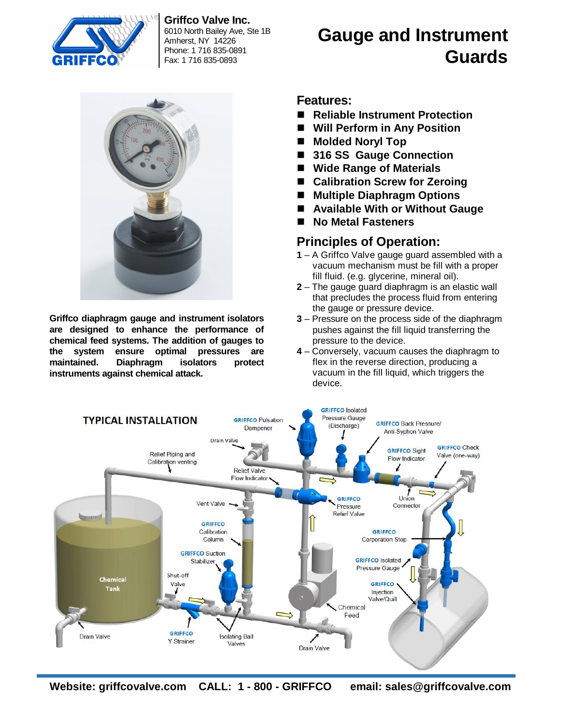

**Griffco Valve Inc.** 6010 North Bailey Ave, Ste 1B Amherst, NY 14226 Phone: 1 716 835-0891 Fax: 1 716 835-0893



**Griffco diaphragm gauge and instrument isolators are designed to enhance the performance of chemical feed systems. The addition of gauges to the system ensure optimal pressures are maintained. Diaphragm isolators protect instruments against chemical attack.**

#### **Features:**

**Reliable Instrument Protection**

**Gauge and Instrument** 

**Guards**

- **Will Perform in Any Position**
- Molded Noryl Top
- **316 SS Gauge Connection**
- **Wide Range of Materials**
- Calibration Screw for Zeroing
- **Multiple Diaphragm Options**
- **Available With or Without Gauge**
- **No Metal Fasteners**

### **Principles of Operation:**

- **1** A Griffco Valve gauge guard assembled with a vacuum mechanism must be fill with a proper fill fluid. (e.g. glycerine, mineral oil).
- **2** The gauge guard diaphragm is an elastic wall that precludes the process fluid from entering the gauge or pressure device.
- **3** Pressure on the process side of the diaphragm pushes against the fill liquid transferring the pressure to the device.
- **4** Conversely, vacuum causes the diaphragm to flex in the reverse direction, producing a vacuum in the fill liquid, which triggers the device.



**Website: griffcovalve.com CALL: 1 - 800 - GRIFFCO email: [sales@griffcovalve.com](mailto:sales@griffcovalve.com)**